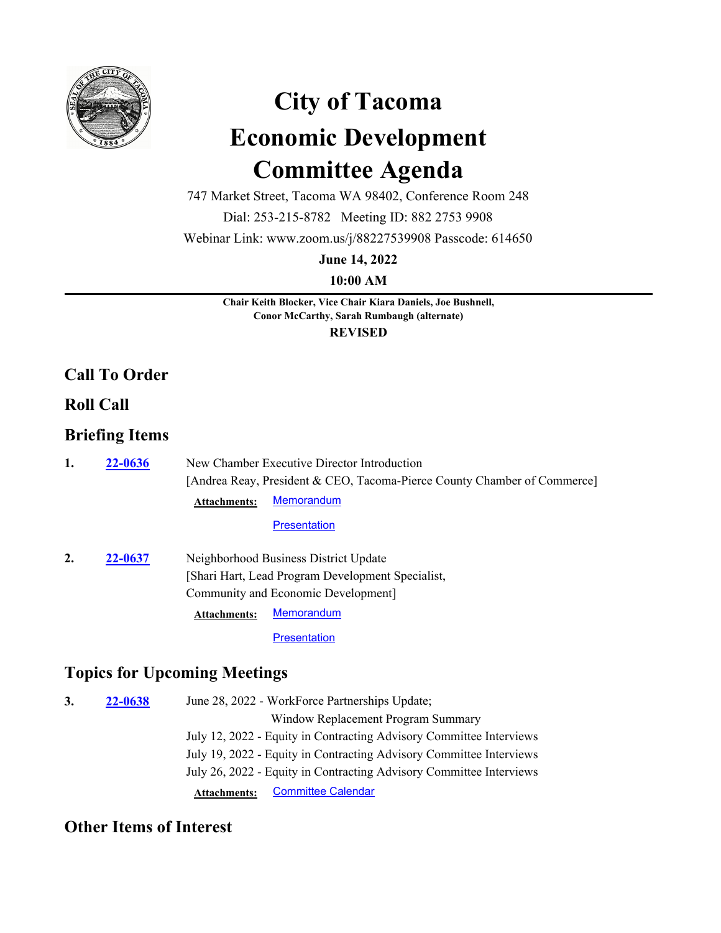

# **City of Tacoma Economic Development Committee Agenda**

747 Market Street, Tacoma WA 98402, Conference Room 248

Dial: 253-215-8782 Meeting ID: 882 2753 9908

Webinar Link: www.zoom.us/j/88227539908 Passcode: 614650

**June 14, 2022**

**10:00 AM**

**Chair Keith Blocker, Vice Chair Kiara Daniels, Joe Bushnell, Conor McCarthy, Sarah Rumbaugh (alternate) REVISED**

## **Call To Order**

## **Roll Call**

## **Briefing Items**

**1. 22-0636** New Chamber Executive Director Introduction [Andrea Reay, President & CEO, Tacoma-Pierce County Chamber of Commerce] **22-0636 Attachments:** [Memorandum](http://cityoftacoma.legistar.com/gateway.aspx?M=F&ID=af7d7085-501f-4cbd-ba19-fe4d985e4302.pdf)

#### **[Presentation](http://cityoftacoma.legistar.com/gateway.aspx?M=F&ID=fc05cc41-2a4f-474a-b990-980d1f811d2b.pdf)**

2. 22-0637 Neighborhood Business District Update [Shari Hart, Lead Program Development Specialist, Community and Economic Development] **22-0637 Attachments:** [Memorandum](http://cityoftacoma.legistar.com/gateway.aspx?M=F&ID=b70eeb93-bdb3-4757-ad04-b104ac42ea89.pdf)

**[Presentation](http://cityoftacoma.legistar.com/gateway.aspx?M=F&ID=14b46644-c6e2-41fa-a6f6-738c7df6ae3f.pdf)** 

## **Topics for Upcoming Meetings**

| 3. | 22-0638 | June 28, 2022 - WorkForce Partnerships Update;                      |
|----|---------|---------------------------------------------------------------------|
|    |         | Window Replacement Program Summary                                  |
|    |         | July 12, 2022 - Equity in Contracting Advisory Committee Interviews |
|    |         | July 19, 2022 - Equity in Contracting Advisory Committee Interviews |
|    |         | July 26, 2022 - Equity in Contracting Advisory Committee Interviews |
|    |         | <b>Committee Calendar</b><br><b>Attachments:</b>                    |

## **Other Items of Interest**